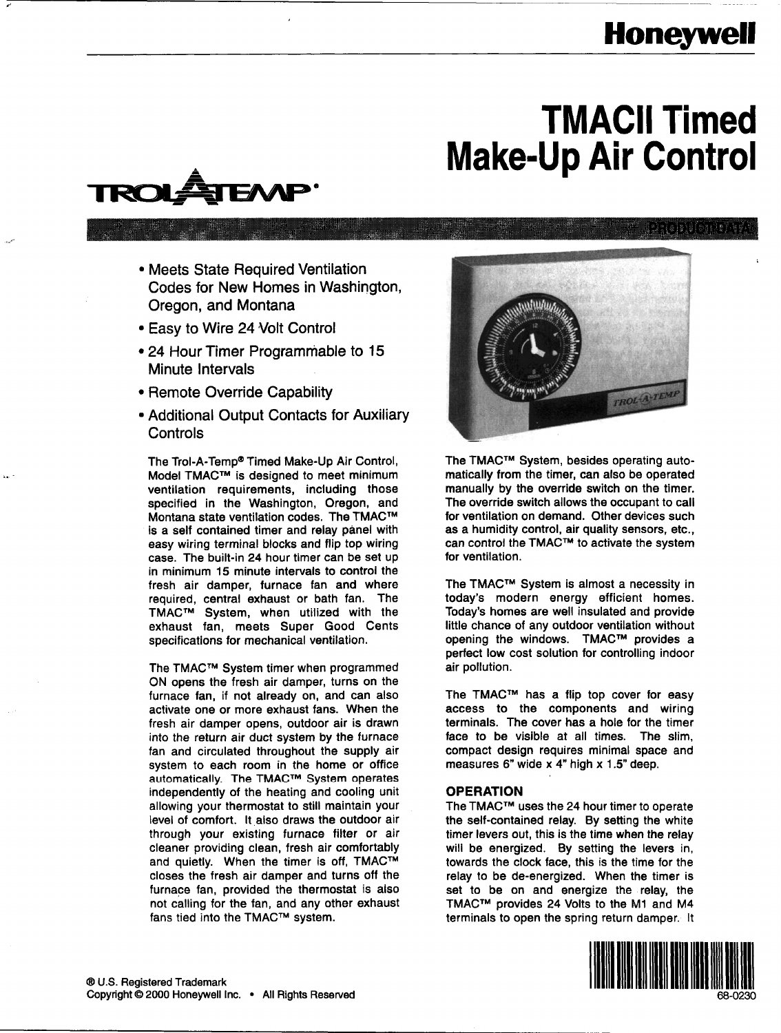## **Honeywell**

# **TMACII Timed Make-Up Air Control**



• Meets State Required Ventilation Codes for New Homes in Washington, Oregon, and Montana

,

- Easy to Wire 24 Volt Control
- 24 Hour Timer Programmable to 15
- 
- Additional Output Contacts for Auxiliary

The Trol-A-Temp<sup>®</sup> Timed Make-Up Air Control, Model TMACTM is designed to meet minimum ventilation requirements, including those specified in the Washington, Oregon, and Montana state ventilation codes. The TMACTM is a self contained timer and relay panel with easy wiring terminal blocks and flip top wiring case. The built-in 24 hour timer can be set up in minimum 15 minute intervals to control the fresh air damper, furnace fan and where required, central exhaust or bath fan. The TMACTM System, when utilized with the exhaust fan, meets Super Good Cents specifications for mechanical ventilation.

The TMACTM System timer when programmed ON opens the fresh air damper, turns on the furnace fan, if not already on, and can also activate one or more exhaust fans. When the fresh air damper opens, outdoor air is drawn into the return air duct system by the furnace fan and circulated throughout the supply air system to each room in the home or office automatically. The TMACTM System operates independently of the heating and cooling unit allowing your thermostat to still maintain your level of comfort. It also draws the outdoor air through your existing furnace filter or air cleaner providing clean, fresh air comfortably and quietly. When the timer is off, TMAC™ closes the fresh air damper and turns off the furnace fan, provided the thermostat is also not calling for the fan, and any other exhaust fans tied into the TMACTM system.



The TMACTM System, besides operating automatically from the timer, can also be operated manually by the override switch on the timer. The override switch allows the occupant to call for ventilation on demand. Other devices such as a humidity control, air quality sensors, etc., can control the TMACTM to activate the system for ventilation.

The TMACTM System is almost a necessity in today's modern energy efficient homes. Today's homes are well insulated and provide little chance of any outdoor ventilation without opening the windows. TMAC™ provides a perfect low cost solution for controlling indoor air pollution.

The TMACTM has a flip top cover for easy access to the components and wiring terminals. The cover has a hole for the timer face to be visible at all times. The slim, compact design requires minimal space and measures 6" wide x 4" high x 1.5" deep.

#### OPERATION

The TMACTM uses the 24 hour timer to operate the self-contained relay. By setting the white timer levers out, this is the time when the relay will be energized. By setting the levers in, towards the clock face, this is the time for the relay to be de-energized. When the timer is set to be on and energize the relay, the TMACTM provides 24 Volts to the Ml and M4 terminals to open the spring return damper. It